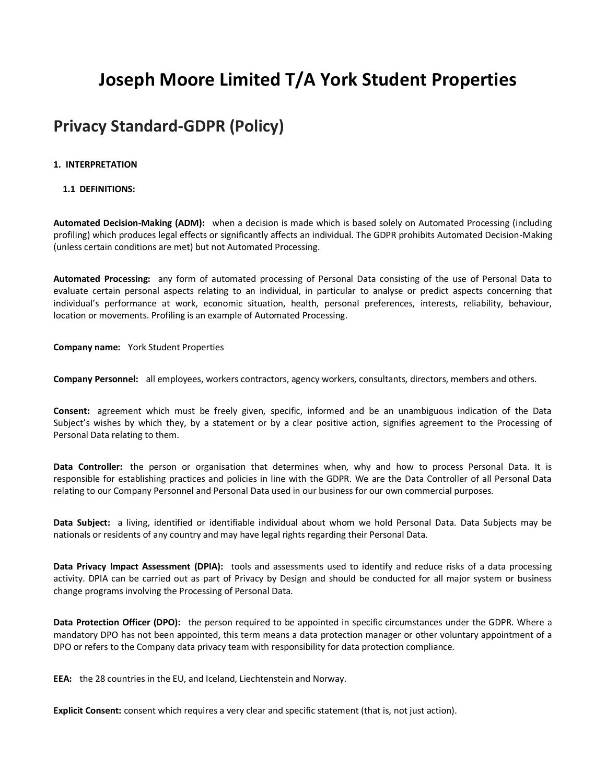# **Joseph Moore Limited T/A York Student Properties**

## **Privacy Standard-GDPR (Policy)**

## **1. INTERPRETATION**

## **1.1 DEFINITIONS:**

**Automated Decision-Making (ADM):** when a decision is made which is based solely on Automated Processing (including profiling) which produces legal effects or significantly affects an individual. The GDPR prohibits Automated Decision-Making (unless certain conditions are met) but not Automated Processing.

**Automated Processing:** any form of automated processing of Personal Data consisting of the use of Personal Data to evaluate certain personal aspects relating to an individual, in particular to analyse or predict aspects concerning that individual's performance at work, economic situation, health, personal preferences, interests, reliability, behaviour, location or movements. Profiling is an example of Automated Processing.

**Company name:** York Student Properties

**Company Personnel:** all employees, workers contractors, agency workers, consultants, directors, members and others.

**Consent:** agreement which must be freely given, specific, informed and be an unambiguous indication of the Data Subject's wishes by which they, by a statement or by a clear positive action, signifies agreement to the Processing of Personal Data relating to them.

**Data Controller:** the person or organisation that determines when, why and how to process Personal Data. It is responsible for establishing practices and policies in line with the GDPR. We are the Data Controller of all Personal Data relating to our Company Personnel and Personal Data used in our business for our own commercial purposes.

**Data Subject:** a living, identified or identifiable individual about whom we hold Personal Data. Data Subjects may be nationals or residents of any country and may have legal rights regarding their Personal Data.

**Data Privacy Impact Assessment (DPIA):** tools and assessments used to identify and reduce risks of a data processing activity. DPIA can be carried out as part of Privacy by Design and should be conducted for all major system or business change programs involving the Processing of Personal Data.

**Data Protection Officer (DPO):** the person required to be appointed in specific circumstances under the GDPR. Where a mandatory DPO has not been appointed, this term means a data protection manager or other voluntary appointment of a DPO or refers to the Company data privacy team with responsibility for data protection compliance.

**EEA:** the 28 countries in the EU, and Iceland, Liechtenstein and Norway.

**Explicit Consent:** consent which requires a very clear and specific statement (that is, not just action).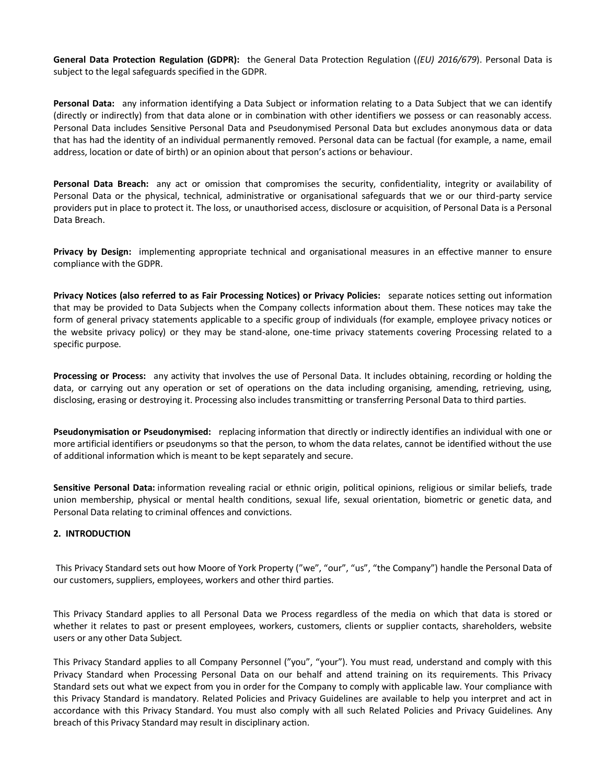**General Data Protection Regulation (GDPR):** the General Data Protection Regulation (*(EU) 2016/679*). Personal Data is subject to the legal safeguards specified in the GDPR.

**Personal Data:** any information identifying a Data Subject or information relating to a Data Subject that we can identify (directly or indirectly) from that data alone or in combination with other identifiers we possess or can reasonably access. Personal Data includes Sensitive Personal Data and Pseudonymised Personal Data but excludes anonymous data or data that has had the identity of an individual permanently removed. Personal data can be factual (for example, a name, email address, location or date of birth) or an opinion about that person's actions or behaviour.

**Personal Data Breach:** any act or omission that compromises the security, confidentiality, integrity or availability of Personal Data or the physical, technical, administrative or organisational safeguards that we or our third-party service providers put in place to protect it. The loss, or unauthorised access, disclosure or acquisition, of Personal Data is a Personal Data Breach.

**Privacy by Design:** implementing appropriate technical and organisational measures in an effective manner to ensure compliance with the GDPR.

**Privacy Notices (also referred to as Fair Processing Notices) or Privacy Policies:** separate notices setting out information that may be provided to Data Subjects when the Company collects information about them. These notices may take the form of general privacy statements applicable to a specific group of individuals (for example, employee privacy notices or the website privacy policy) or they may be stand-alone, one-time privacy statements covering Processing related to a specific purpose.

**Processing or Process:** any activity that involves the use of Personal Data. It includes obtaining, recording or holding the data, or carrying out any operation or set of operations on the data including organising, amending, retrieving, using, disclosing, erasing or destroying it. Processing also includes transmitting or transferring Personal Data to third parties.

**Pseudonymisation or Pseudonymised:** replacing information that directly or indirectly identifies an individual with one or more artificial identifiers or pseudonyms so that the person, to whom the data relates, cannot be identified without the use of additional information which is meant to be kept separately and secure.

**Sensitive Personal Data:** information revealing racial or ethnic origin, political opinions, religious or similar beliefs, trade union membership, physical or mental health conditions, sexual life, sexual orientation, biometric or genetic data, and Personal Data relating to criminal offences and convictions.

## **2. INTRODUCTION**

This Privacy Standard sets out how Moore of York Property ("we", "our", "us", "the Company") handle the Personal Data of our customers, suppliers, employees, workers and other third parties.

This Privacy Standard applies to all Personal Data we Process regardless of the media on which that data is stored or whether it relates to past or present employees, workers, customers, clients or supplier contacts, shareholders, website users or any other Data Subject.

This Privacy Standard applies to all Company Personnel ("you", "your"). You must read, understand and comply with this Privacy Standard when Processing Personal Data on our behalf and attend training on its requirements. This Privacy Standard sets out what we expect from you in order for the Company to comply with applicable law. Your compliance with this Privacy Standard is mandatory. Related Policies and Privacy Guidelines are available to help you interpret and act in accordance with this Privacy Standard. You must also comply with all such Related Policies and Privacy Guidelines. Any breach of this Privacy Standard may result in disciplinary action.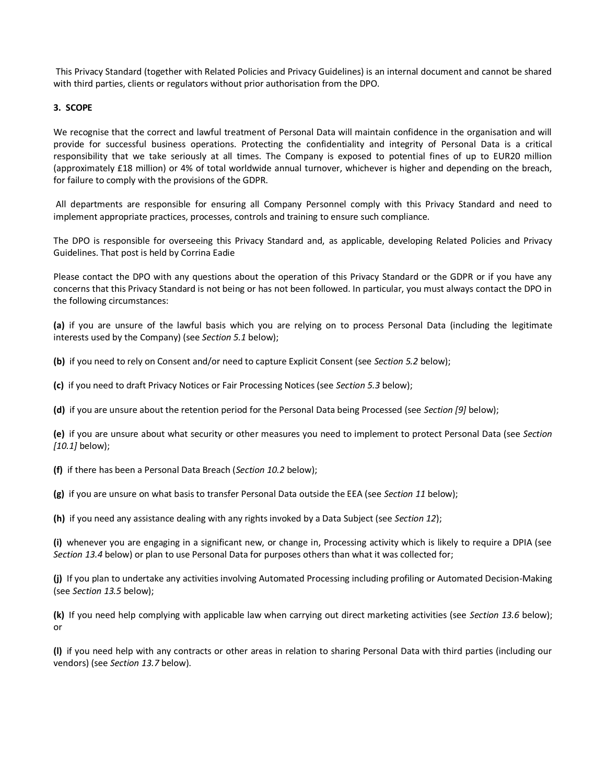This Privacy Standard (together with Related Policies and Privacy Guidelines) is an internal document and cannot be shared with third parties, clients or regulators without prior authorisation from the DPO.

#### **3. SCOPE**

We recognise that the correct and lawful treatment of Personal Data will maintain confidence in the organisation and will provide for successful business operations. Protecting the confidentiality and integrity of Personal Data is a critical responsibility that we take seriously at all times. The Company is exposed to potential fines of up to EUR20 million (approximately £18 million) or 4% of total worldwide annual turnover, whichever is higher and depending on the breach, for failure to comply with the provisions of the GDPR.

All departments are responsible for ensuring all Company Personnel comply with this Privacy Standard and need to implement appropriate practices, processes, controls and training to ensure such compliance.

The DPO is responsible for overseeing this Privacy Standard and, as applicable, developing Related Policies and Privacy Guidelines. That post is held by Corrina Eadie

Please contact the DPO with any questions about the operation of this Privacy Standard or the GDPR or if you have any concerns that this Privacy Standard is not being or has not been followed. In particular, you must always contact the DPO in the following circumstances:

**(a)** if you are unsure of the lawful basis which you are relying on to process Personal Data (including the legitimate interests used by the Company) (see *Section 5.1* below);

**(b)** if you need to rely on Consent and/or need to capture Explicit Consent (see *Section 5.2* below);

**(c)** if you need to draft Privacy Notices or Fair Processing Notices (see *Section 5.3* below);

**(d)** if you are unsure about the retention period for the Personal Data being Processed (see *Section [9]* below);

**(e)** if you are unsure about what security or other measures you need to implement to protect Personal Data (see *Section [10.1]* below);

**(f)** if there has been a Personal Data Breach (*Section 10.2* below);

**(g)** if you are unsure on what basis to transfer Personal Data outside the EEA (see *Section 11* below);

**(h)** if you need any assistance dealing with any rights invoked by a Data Subject (see *Section 12*);

**(i)** whenever you are engaging in a significant new, or change in, Processing activity which is likely to require a DPIA (see *Section 13.4* below) or plan to use Personal Data for purposes others than what it was collected for;

**(j)** If you plan to undertake any activities involving Automated Processing including profiling or Automated Decision-Making (see *Section 13.5* below);

**(k)** If you need help complying with applicable law when carrying out direct marketing activities (see *Section 13.6* below); or

**(l)** if you need help with any contracts or other areas in relation to sharing Personal Data with third parties (including our vendors) (see *Section 13.7* below).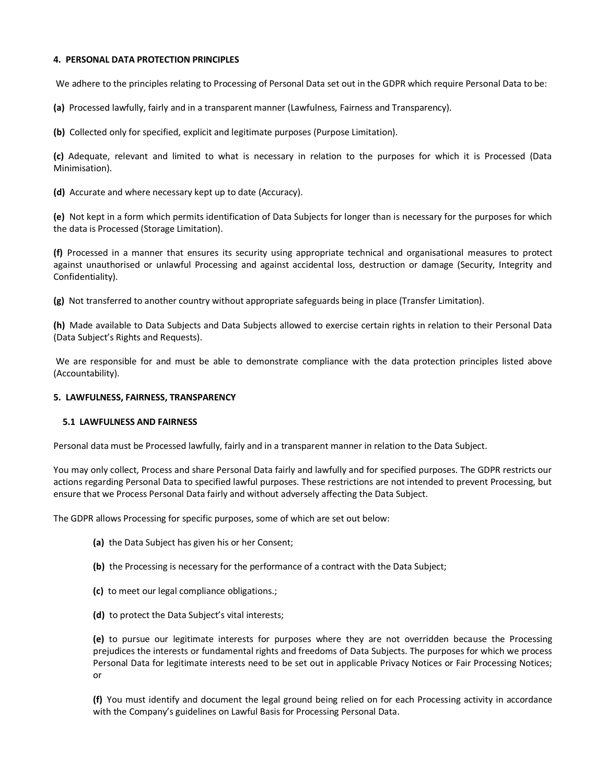#### **4. PERSONAL DATA PROTECTION PRINCIPLES**

We adhere to the principles relating to Processing of Personal Data set out in the GDPR which require Personal Data to be:

**(a)** Processed lawfully, fairly and in a transparent manner (Lawfulness, Fairness and Transparency).

**(b)** Collected only for specified, explicit and legitimate purposes (Purpose Limitation).

**(c)** Adequate, relevant and limited to what is necessary in relation to the purposes for which it is Processed (Data Minimisation).

**(d)** Accurate and where necessary kept up to date (Accuracy).

**(e)** Not kept in a form which permits identification of Data Subjects for longer than is necessary for the purposes for which the data is Processed (Storage Limitation).

**(f)** Processed in a manner that ensures its security using appropriate technical and organisational measures to protect against unauthorised or unlawful Processing and against accidental loss, destruction or damage (Security, Integrity and Confidentiality).

**(g)** Not transferred to another country without appropriate safeguards being in place (Transfer Limitation).

**(h)** Made available to Data Subjects and Data Subjects allowed to exercise certain rights in relation to their Personal Data (Data Subject's Rights and Requests).

We are responsible for and must be able to demonstrate compliance with the data protection principles listed above (Accountability).

#### **5. LAWFULNESS, FAIRNESS, TRANSPARENCY**

#### **5.1 LAWFULNESS AND FAIRNESS**

Personal data must be Processed lawfully, fairly and in a transparent manner in relation to the Data Subject.

You may only collect, Process and share Personal Data fairly and lawfully and for specified purposes. The GDPR restricts our actions regarding Personal Data to specified lawful purposes. These restrictions are not intended to prevent Processing, but ensure that we Process Personal Data fairly and without adversely affecting the Data Subject.

The GDPR allows Processing for specific purposes, some of which are set out below:

- **(a)** the Data Subject has given his or her Consent;
- **(b)** the Processing is necessary for the performance of a contract with the Data Subject;
- **(c)** to meet our legal compliance obligations.;
- **(d)** to protect the Data Subject's vital interests;

**(e)** to pursue our legitimate interests for purposes where they are not overridden because the Processing prejudices the interests or fundamental rights and freedoms of Data Subjects. The purposes for which we process Personal Data for legitimate interests need to be set out in applicable Privacy Notices or Fair Processing Notices; or

**(f)** You must identify and document the legal ground being relied on for each Processing activity in accordance with the Company's guidelines on Lawful Basis for Processing Personal Data.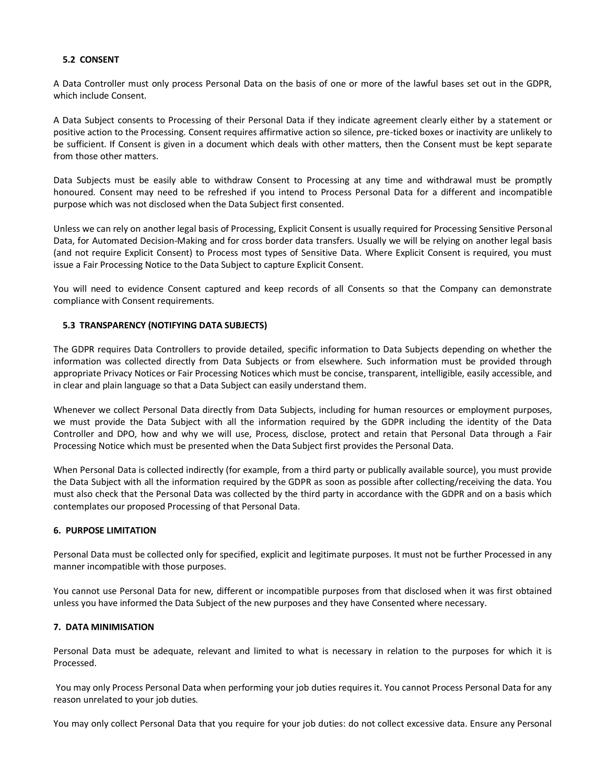## **5.2 CONSENT**

A Data Controller must only process Personal Data on the basis of one or more of the lawful bases set out in the GDPR, which include Consent.

A Data Subject consents to Processing of their Personal Data if they indicate agreement clearly either by a statement or positive action to the Processing. Consent requires affirmative action so silence, pre-ticked boxes or inactivity are unlikely to be sufficient. If Consent is given in a document which deals with other matters, then the Consent must be kept separate from those other matters.

Data Subjects must be easily able to withdraw Consent to Processing at any time and withdrawal must be promptly honoured. Consent may need to be refreshed if you intend to Process Personal Data for a different and incompatible purpose which was not disclosed when the Data Subject first consented.

Unless we can rely on another legal basis of Processing, Explicit Consent is usually required for Processing Sensitive Personal Data, for Automated Decision-Making and for cross border data transfers. Usually we will be relying on another legal basis (and not require Explicit Consent) to Process most types of Sensitive Data. Where Explicit Consent is required, you must issue a Fair Processing Notice to the Data Subject to capture Explicit Consent.

You will need to evidence Consent captured and keep records of all Consents so that the Company can demonstrate compliance with Consent requirements.

## **5.3 TRANSPARENCY (NOTIFYING DATA SUBJECTS)**

The GDPR requires Data Controllers to provide detailed, specific information to Data Subjects depending on whether the information was collected directly from Data Subjects or from elsewhere. Such information must be provided through appropriate Privacy Notices or Fair Processing Notices which must be concise, transparent, intelligible, easily accessible, and in clear and plain language so that a Data Subject can easily understand them.

Whenever we collect Personal Data directly from Data Subjects, including for human resources or employment purposes, we must provide the Data Subject with all the information required by the GDPR including the identity of the Data Controller and DPO, how and why we will use, Process, disclose, protect and retain that Personal Data through a Fair Processing Notice which must be presented when the Data Subject first provides the Personal Data.

When Personal Data is collected indirectly (for example, from a third party or publically available source), you must provide the Data Subject with all the information required by the GDPR as soon as possible after collecting/receiving the data. You must also check that the Personal Data was collected by the third party in accordance with the GDPR and on a basis which contemplates our proposed Processing of that Personal Data.

## **6. PURPOSE LIMITATION**

Personal Data must be collected only for specified, explicit and legitimate purposes. It must not be further Processed in any manner incompatible with those purposes.

You cannot use Personal Data for new, different or incompatible purposes from that disclosed when it was first obtained unless you have informed the Data Subject of the new purposes and they have Consented where necessary.

#### **7. DATA MINIMISATION**

Personal Data must be adequate, relevant and limited to what is necessary in relation to the purposes for which it is Processed.

You may only Process Personal Data when performing your job duties requires it. You cannot Process Personal Data for any reason unrelated to your job duties.

You may only collect Personal Data that you require for your job duties: do not collect excessive data. Ensure any Personal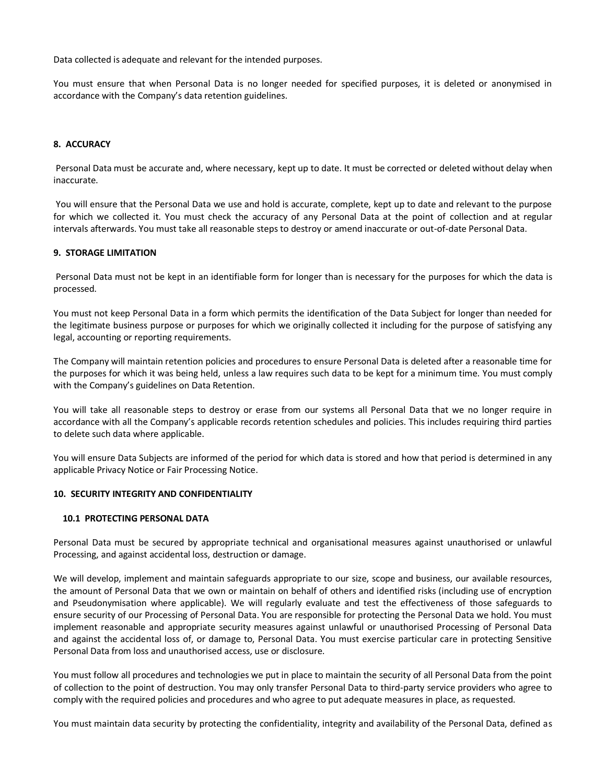Data collected is adequate and relevant for the intended purposes.

You must ensure that when Personal Data is no longer needed for specified purposes, it is deleted or anonymised in accordance with the Company's data retention guidelines.

## **8. ACCURACY**

Personal Data must be accurate and, where necessary, kept up to date. It must be corrected or deleted without delay when inaccurate.

You will ensure that the Personal Data we use and hold is accurate, complete, kept up to date and relevant to the purpose for which we collected it. You must check the accuracy of any Personal Data at the point of collection and at regular intervals afterwards. You must take all reasonable steps to destroy or amend inaccurate or out-of-date Personal Data.

#### **9. STORAGE LIMITATION**

Personal Data must not be kept in an identifiable form for longer than is necessary for the purposes for which the data is processed.

You must not keep Personal Data in a form which permits the identification of the Data Subject for longer than needed for the legitimate business purpose or purposes for which we originally collected it including for the purpose of satisfying any legal, accounting or reporting requirements.

The Company will maintain retention policies and procedures to ensure Personal Data is deleted after a reasonable time for the purposes for which it was being held, unless a law requires such data to be kept for a minimum time. You must comply with the Company's guidelines on Data Retention.

You will take all reasonable steps to destroy or erase from our systems all Personal Data that we no longer require in accordance with all the Company's applicable records retention schedules and policies. This includes requiring third parties to delete such data where applicable.

You will ensure Data Subjects are informed of the period for which data is stored and how that period is determined in any applicable Privacy Notice or Fair Processing Notice.

#### **10. SECURITY INTEGRITY AND CONFIDENTIALITY**

#### **10.1 PROTECTING PERSONAL DATA**

Personal Data must be secured by appropriate technical and organisational measures against unauthorised or unlawful Processing, and against accidental loss, destruction or damage.

We will develop, implement and maintain safeguards appropriate to our size, scope and business, our available resources, the amount of Personal Data that we own or maintain on behalf of others and identified risks (including use of encryption and Pseudonymisation where applicable). We will regularly evaluate and test the effectiveness of those safeguards to ensure security of our Processing of Personal Data. You are responsible for protecting the Personal Data we hold. You must implement reasonable and appropriate security measures against unlawful or unauthorised Processing of Personal Data and against the accidental loss of, or damage to, Personal Data. You must exercise particular care in protecting Sensitive Personal Data from loss and unauthorised access, use or disclosure.

You must follow all procedures and technologies we put in place to maintain the security of all Personal Data from the point of collection to the point of destruction. You may only transfer Personal Data to third-party service providers who agree to comply with the required policies and procedures and who agree to put adequate measures in place, as requested.

You must maintain data security by protecting the confidentiality, integrity and availability of the Personal Data, defined as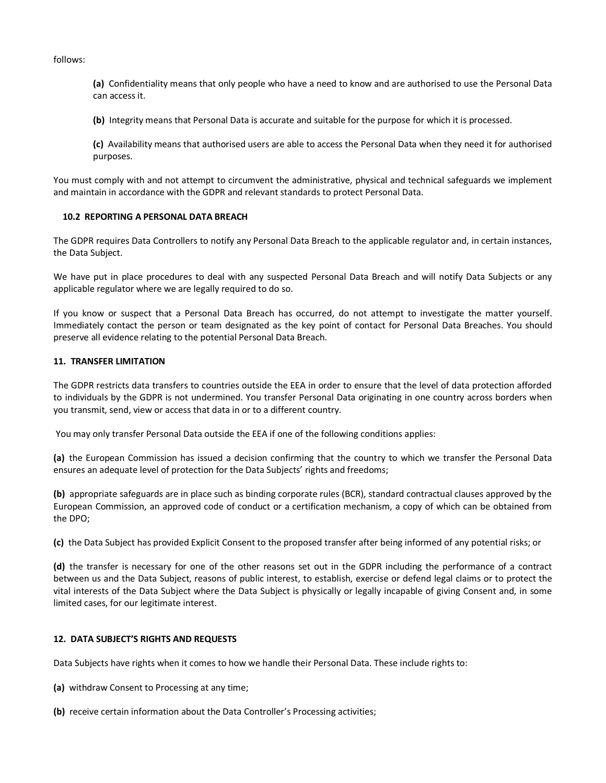follows:

**(a)** Confidentiality means that only people who have a need to know and are authorised to use the Personal Data can access it.

**(b)** Integrity means that Personal Data is accurate and suitable for the purpose for which it is processed.

**(c)** Availability means that authorised users are able to access the Personal Data when they need it for authorised purposes.

You must comply with and not attempt to circumvent the administrative, physical and technical safeguards we implement and maintain in accordance with the GDPR and relevant standards to protect Personal Data.

#### **10.2 REPORTING A PERSONAL DATA BREACH**

The GDPR requires Data Controllers to notify any Personal Data Breach to the applicable regulator and, in certain instances, the Data Subject.

We have put in place procedures to deal with any suspected Personal Data Breach and will notify Data Subjects or any applicable regulator where we are legally required to do so.

If you know or suspect that a Personal Data Breach has occurred, do not attempt to investigate the matter yourself. Immediately contact the person or team designated as the key point of contact for Personal Data Breaches. You should preserve all evidence relating to the potential Personal Data Breach.

## **11. TRANSFER LIMITATION**

The GDPR restricts data transfers to countries outside the EEA in order to ensure that the level of data protection afforded to individuals by the GDPR is not undermined. You transfer Personal Data originating in one country across borders when you transmit, send, view or access that data in or to a different country.

You may only transfer Personal Data outside the EEA if one of the following conditions applies:

**(a)** the European Commission has issued a decision confirming that the country to which we transfer the Personal Data ensures an adequate level of protection for the Data Subjects' rights and freedoms;

**(b)** appropriate safeguards are in place such as binding corporate rules (BCR), standard contractual clauses approved by the European Commission, an approved code of conduct or a certification mechanism, a copy of which can be obtained from the DPO;

**(c)** the Data Subject has provided Explicit Consent to the proposed transfer after being informed of any potential risks; or

**(d)** the transfer is necessary for one of the other reasons set out in the GDPR including the performance of a contract between us and the Data Subject, reasons of public interest, to establish, exercise or defend legal claims or to protect the vital interests of the Data Subject where the Data Subject is physically or legally incapable of giving Consent and, in some limited cases, for our legitimate interest.

## **12. DATA SUBJECT'S RIGHTS AND REQUESTS**

Data Subjects have rights when it comes to how we handle their Personal Data. These include rights to:

- **(a)** withdraw Consent to Processing at any time;
- **(b)** receive certain information about the Data Controller's Processing activities;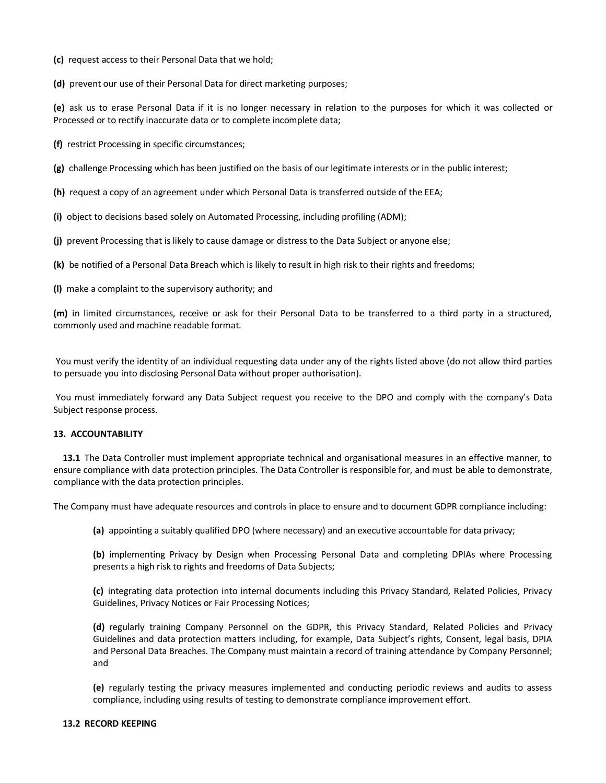- **(c)** request access to their Personal Data that we hold;
- **(d)** prevent our use of their Personal Data for direct marketing purposes;

**(e)** ask us to erase Personal Data if it is no longer necessary in relation to the purposes for which it was collected or Processed or to rectify inaccurate data or to complete incomplete data;

**(f)** restrict Processing in specific circumstances;

**(g)** challenge Processing which has been justified on the basis of our legitimate interests or in the public interest;

**(h)** request a copy of an agreement under which Personal Data is transferred outside of the EEA;

**(i)** object to decisions based solely on Automated Processing, including profiling (ADM);

**(j)** prevent Processing that is likely to cause damage or distress to the Data Subject or anyone else;

**(k)** be notified of a Personal Data Breach which is likely to result in high risk to their rights and freedoms;

**(l)** make a complaint to the supervisory authority; and

**(m)** in limited circumstances, receive or ask for their Personal Data to be transferred to a third party in a structured, commonly used and machine readable format.

You must verify the identity of an individual requesting data under any of the rights listed above (do not allow third parties to persuade you into disclosing Personal Data without proper authorisation).

You must immediately forward any Data Subject request you receive to the DPO and comply with the company's Data Subject response process.

#### **13. ACCOUNTABILITY**

**13.1** The Data Controller must implement appropriate technical and organisational measures in an effective manner, to ensure compliance with data protection principles. The Data Controller is responsible for, and must be able to demonstrate, compliance with the data protection principles.

The Company must have adequate resources and controls in place to ensure and to document GDPR compliance including:

**(a)** appointing a suitably qualified DPO (where necessary) and an executive accountable for data privacy;

**(b)** implementing Privacy by Design when Processing Personal Data and completing DPIAs where Processing presents a high risk to rights and freedoms of Data Subjects;

**(c)** integrating data protection into internal documents including this Privacy Standard, Related Policies, Privacy Guidelines, Privacy Notices or Fair Processing Notices;

**(d)** regularly training Company Personnel on the GDPR, this Privacy Standard, Related Policies and Privacy Guidelines and data protection matters including, for example, Data Subject's rights, Consent, legal basis, DPIA and Personal Data Breaches. The Company must maintain a record of training attendance by Company Personnel; and

**(e)** regularly testing the privacy measures implemented and conducting periodic reviews and audits to assess compliance, including using results of testing to demonstrate compliance improvement effort.

#### **13.2 RECORD KEEPING**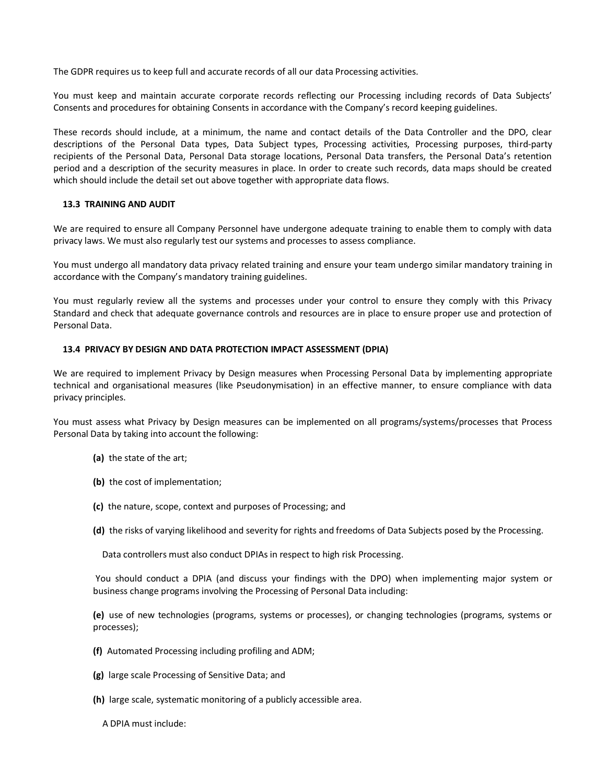The GDPR requires us to keep full and accurate records of all our data Processing activities.

You must keep and maintain accurate corporate records reflecting our Processing including records of Data Subjects' Consents and procedures for obtaining Consents in accordance with the Company's record keeping guidelines.

These records should include, at a minimum, the name and contact details of the Data Controller and the DPO, clear descriptions of the Personal Data types, Data Subject types, Processing activities, Processing purposes, third-party recipients of the Personal Data, Personal Data storage locations, Personal Data transfers, the Personal Data's retention period and a description of the security measures in place. In order to create such records, data maps should be created which should include the detail set out above together with appropriate data flows.

#### **13.3 TRAINING AND AUDIT**

We are required to ensure all Company Personnel have undergone adequate training to enable them to comply with data privacy laws. We must also regularly test our systems and processes to assess compliance.

You must undergo all mandatory data privacy related training and ensure your team undergo similar mandatory training in accordance with the Company's mandatory training guidelines.

You must regularly review all the systems and processes under your control to ensure they comply with this Privacy Standard and check that adequate governance controls and resources are in place to ensure proper use and protection of Personal Data.

#### **13.4 PRIVACY BY DESIGN AND DATA PROTECTION IMPACT ASSESSMENT (DPIA)**

We are required to implement Privacy by Design measures when Processing Personal Data by implementing appropriate technical and organisational measures (like Pseudonymisation) in an effective manner, to ensure compliance with data privacy principles.

You must assess what Privacy by Design measures can be implemented on all programs/systems/processes that Process Personal Data by taking into account the following:

- **(a)** the state of the art;
- **(b)** the cost of implementation;
- **(c)** the nature, scope, context and purposes of Processing; and
- **(d)** the risks of varying likelihood and severity for rights and freedoms of Data Subjects posed by the Processing.

Data controllers must also conduct DPIAs in respect to high risk Processing.

You should conduct a DPIA (and discuss your findings with the DPO) when implementing major system or business change programs involving the Processing of Personal Data including:

**(e)** use of new technologies (programs, systems or processes), or changing technologies (programs, systems or processes);

- **(f)** Automated Processing including profiling and ADM;
- **(g)** large scale Processing of Sensitive Data; and
- **(h)** large scale, systematic monitoring of a publicly accessible area.
	- A DPIA must include: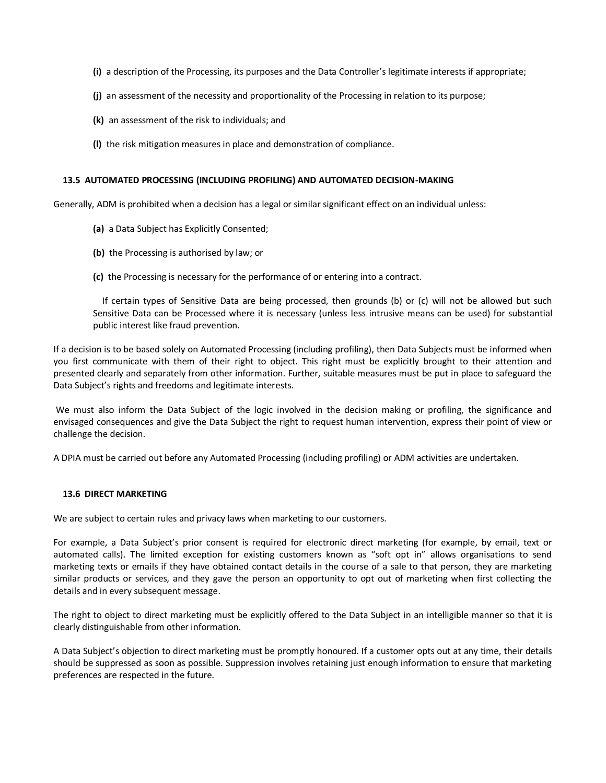- **(i)** a description of the Processing, its purposes and the Data Controller's legitimate interests if appropriate;
- **(j)** an assessment of the necessity and proportionality of the Processing in relation to its purpose;
- **(k)** an assessment of the risk to individuals; and
- **(l)** the risk mitigation measures in place and demonstration of compliance.

#### **13.5 AUTOMATED PROCESSING (INCLUDING PROFILING) AND AUTOMATED DECISION-MAKING**

Generally, ADM is prohibited when a decision has a legal or similar significant effect on an individual unless:

- **(a)** a Data Subject has Explicitly Consented;
- **(b)** the Processing is authorised by law; or
- **(c)** the Processing is necessary for the performance of or entering into a contract.

If certain types of Sensitive Data are being processed, then grounds (b) or (c) will not be allowed but such Sensitive Data can be Processed where it is necessary (unless less intrusive means can be used) for substantial public interest like fraud prevention.

If a decision is to be based solely on Automated Processing (including profiling), then Data Subjects must be informed when you first communicate with them of their right to object. This right must be explicitly brought to their attention and presented clearly and separately from other information. Further, suitable measures must be put in place to safeguard the Data Subject's rights and freedoms and legitimate interests.

We must also inform the Data Subject of the logic involved in the decision making or profiling, the significance and envisaged consequences and give the Data Subject the right to request human intervention, express their point of view or challenge the decision.

A DPIA must be carried out before any Automated Processing (including profiling) or ADM activities are undertaken.

#### **13.6 DIRECT MARKETING**

We are subject to certain rules and privacy laws when marketing to our customers.

For example, a Data Subject's prior consent is required for electronic direct marketing (for example, by email, text or automated calls). The limited exception for existing customers known as "soft opt in" allows organisations to send marketing texts or emails if they have obtained contact details in the course of a sale to that person, they are marketing similar products or services, and they gave the person an opportunity to opt out of marketing when first collecting the details and in every subsequent message.

The right to object to direct marketing must be explicitly offered to the Data Subject in an intelligible manner so that it is clearly distinguishable from other information.

A Data Subject's objection to direct marketing must be promptly honoured. If a customer opts out at any time, their details should be suppressed as soon as possible. Suppression involves retaining just enough information to ensure that marketing preferences are respected in the future.